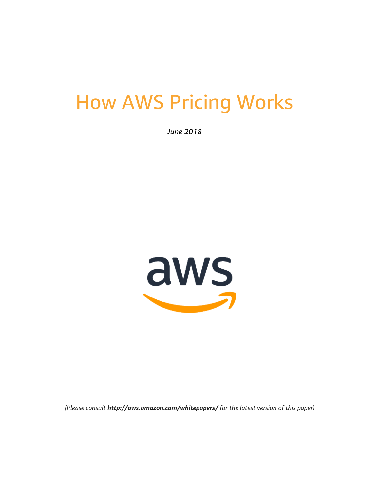# How AWS Pricing Works

*June 2018*



*(Please consult http://aws.amazon.com/whitepapers/ for the latest version of this paper)*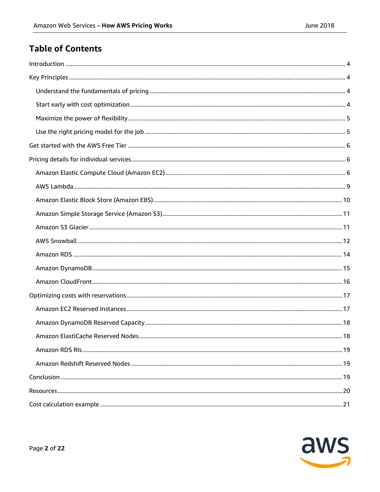# **Table of Contents**

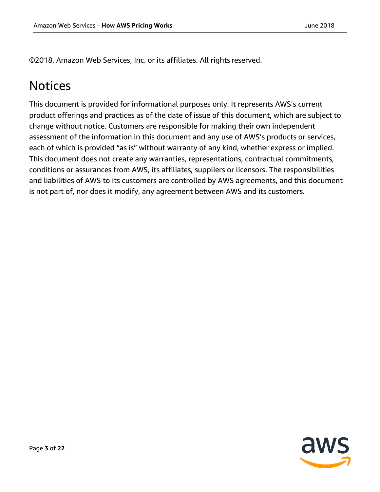©2018, Amazon Web Services, Inc. or its affiliates. All rights reserved.

# Notices

This document is provided for informational purposes only. It represents AWS's current product offerings and practices as of the date of issue of this document, which are subject to change without notice. Customers are responsible for making their own independent assessment of the information in this document and any use of AWS's products or services, each of which is provided "as is" without warranty of any kind, whether express or implied. This document does not create any warranties, representations, contractual commitments, conditions or assurances from AWS, its affiliates, suppliers or licensors. The responsibilities and liabilities of AWS to its customers are controlled by AWS agreements, and this document is not part of, nor does it modify, any agreement between AWS and its customers.

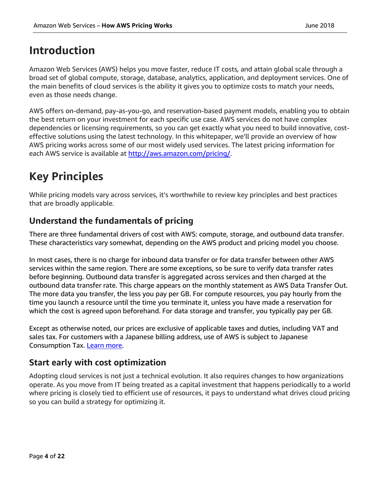# <span id="page-3-0"></span>**Introduction**

Amazon Web Services (AWS) helps you move faster, reduce IT costs, and attain global scale through a broad set of global compute, storage, database, analytics, application, and deployment services. One of the main benefits of cloud services is the ability it gives you to optimize costs to match your needs, even as those needs change.

AWS offers on-demand, pay-as-you-go, and reservation-based payment models, enabling you to obtain the best return on your investment for each specific use case. AWS services do not have complex dependencies or licensing requirements, so you can get exactly what you need to build innovative, costeffective solutions using the latest technology. In this whitepaper, we'll provide an overview of how AWS pricing works across some of our most widely used services. The latest pricing information for each AWS service is available at [http://aws.amazon.com/pricing/.](http://aws.amazon.com/pricing/)

# <span id="page-3-1"></span>**Key Principles**

While pricing models vary across services, it's worthwhile to review key principles and best practices that are broadly applicable.

# <span id="page-3-2"></span>**Understand the fundamentals of pricing**

There are three fundamental drivers of cost with AWS: compute, storage, and outbound data transfer. These characteristics vary somewhat, depending on the AWS product and pricing model you choose.

In most cases, there is no charge for inbound data transfer or for data transfer between other AWS services within the same region. There are some exceptions, so be sure to verify data transfer rates before beginning. Outbound data transfer is aggregated across services and then charged at the outbound data transfer rate. This charge appears on the monthly statement as AWS Data Transfer Out. The more data you transfer, the less you pay per GB. For compute resources, you pay hourly from the time you launch a resource until the time you terminate it, unless you have made a reservation for which the cost is agreed upon beforehand. For data storage and transfer, you typically pay per GB.

Except as otherwise noted, our prices are exclusive of applicable taxes and duties, including VAT and sales tax. For customers with a Japanese billing address, use of AWS is subject to Japanese Consumption Tax. [Learn more.](https://aws.amazon.com/c-tax-faqs/)

# <span id="page-3-3"></span>**Start early with cost optimization**

Adopting cloud services is not just a technical evolution. It also requires changes to how organizations operate. As you move from IT being treated as a capital investment that happens periodically to a world where pricing is closely tied to efficient use of resources, it pays to understand what drives cloud pricing so you can build a strategy for optimizing it.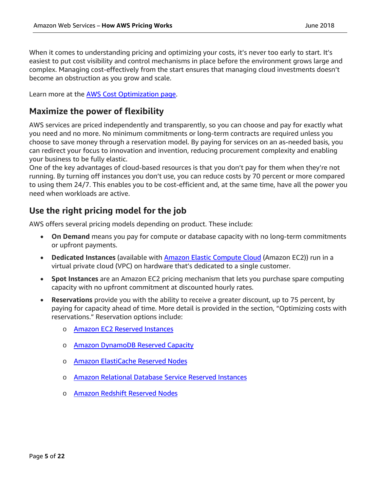When it comes to understanding pricing and optimizing your costs, it's never too early to start. It's easiest to put cost visibility and control mechanisms in place before the environment grows large and complex. Managing cost-effectively from the start ensures that managing cloud investments doesn't become an obstruction as you grow and scale.

Learn more at the [AWS Cost Optimization page.](https://aws.amazon.com/pricing/cost-optimization/)

### <span id="page-4-0"></span>**Maximize the power of flexibility**

AWS services are priced independently and transparently, so you can choose and pay for exactly what you need and no more. No minimum commitments or long-term contracts are required unless you choose to save money through a reservation model. By paying for services on an as-needed basis, you can redirect your focus to innovation and invention, reducing procurement complexity and enabling your business to be fully elastic.

One of the key advantages of cloud-based resources is that you don't pay for them when they're not running. By turning off instances you don't use, you can reduce costs by 70 percent or more compared to using them 24/7. This enables you to be cost-efficient and, at the same time, have all the power you need when workloads are active.

# <span id="page-4-1"></span>**Use the right pricing model for the job**

AWS offers several pricing models depending on product. These include:

- **On Demand** means you pay for compute or database capacity with no long-term commitments or upfront payments.
- Dedicated Instances (available with **Amazon Elastic Compute Cloud** (Amazon EC2)) run in a virtual private cloud (VPC) on hardware that's dedicated to a single customer.
- **Spot Instances** are an Amazon EC2 pricing mechanism that lets you purchase spare computing capacity with no upfront commitment at discounted hourly rates.
- **Reservations** provide you with the ability to receive a greater discount, up to 75 percent, by paying for capacity ahead of time. More detail is provided in the section, "Optimizing costs with reservations." Reservation options include:
	- o [Amazon EC2 Reserved Instances](https://aws.amazon.com/ec2/pricing/reserved-instances/)
	- o [Amazon DynamoDB Reserved Capacity](https://docs.aws.amazon.com/amazondynamodb/latest/developerguide/HowItWorks.ProvisionedThroughput.html#HowItWorks.ProvisionedThroughput.ReservedCapacity)
	- o [Amazon ElastiCache Reserved Nodes](https://aws.amazon.com/elasticache/reserved-cache-nodes/)
	- o [Amazon Relational Database Service Reserved Instances](https://aws.amazon.com/rds/reserved-instances/)
	- o [Amazon Redshift Reserved Nodes](https://docs.aws.amazon.com/redshift/latest/mgmt/purchase-reserved-node-instance.html)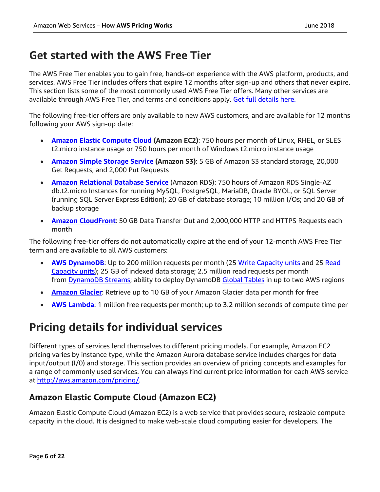# <span id="page-5-0"></span>**Get started with the AWS Free Tier**

The AWS Free Tier enables you to gain free, hands-on experience with the AWS platform, products, and services. AWS Free Tier includes offers that expire 12 months after sign-up and others that never expire. This section lists some of the most commonly used AWS Free Tier offers. Many other services are available through AWS Free Tier, and terms and conditions apply. [Get full details here.](https://aws.amazon.com/free/) 

The following free-tier offers are only available to new AWS customers, and are available for 12 months following your AWS sign-up date:

- **[Amazon Elastic Compute Cloud](https://aws.amazon.com/ec2/) (Amazon EC2)**: 750 hours per month of Linux, RHEL, or SLES t2.micro instance usage or 750 hours per month of Windows t2.micro instance usage
- **[Amazon Simple Storage Service](https://aws.amazon.com/s3/) (Amazon S3)**: 5 GB of Amazon S3 standard storage, 20,000 Get Requests, and 2,000 Put Requests
- **[Amazon Relational Database](https://aws.amazon.com/rds/) Service** (Amazon RDS): 750 hours of Amazon RDS Single-AZ db.t2.micro Instances for running MySQL, PostgreSQL, MariaDB, Oracle BYOL, or SQL Server (running SQL Server Express Edition); 20 GB of database storage; 10 million I/Os; and 20 GB of backup storage
- **[Amazon CloudFront](https://aws.amazon.com/cloudfront/)**: 50 GB Data Transfer Out and 2,000,000 HTTP and HTTPS Requests each month

The following free-tier offers do not automatically expire at the end of your 12-month AWS Free Tier term and are available to all AWS customers:

- **[AWS DynamoDB](https://aws.amazon.com/dynamodb/)**: Up to 200 million requests per month (25 [Write Capacity units](https://aws.amazon.com/dynamodb/faqs/#What_is_a_readwrite_capacity_unit) and 25 Read [Capacity units\)](https://aws.amazon.com/dynamodb/faqs/#What_is_a_readwrite_capacity_unit); 25 GB of indexed data storage; 2.5 million read requests per month from **DynamoDB Streams**; ability to deploy DynamoDB [Global Tables](https://aws.amazon.com/dynamodb/global-tables) in up to two AWS regions
- **[Amazon Glacier](https://aws.amazon.com/glacier/)**: Retrieve up to 10 GB of your Amazon Glacier data per month for free
- **[AWS Lambda](https://aws.amazon.com/lambda/)**: 1 million free requests per month; up to 3.2 million seconds of compute time per

# <span id="page-5-1"></span>**Pricing details for individual services**

Different types of services lend themselves to different pricing models. For example, Amazon EC2 pricing varies by instance type, while the Amazon Aurora database service includes charges for data input/output (I/0) and storage. This section provides an overview of pricing concepts and examples for a range of commonly used services. You can always find current price information for each AWS service at [http://aws.amazon.com/pricing/.](http://aws.amazon.com/pricing/)

# <span id="page-5-2"></span>**Amazon Elastic Compute Cloud (Amazon EC2)**

Amazon Elastic Compute Cloud (Amazon EC2) is a web service that provides secure, resizable compute capacity in the cloud. It is designed to make web-scale cloud computing easier for developers. The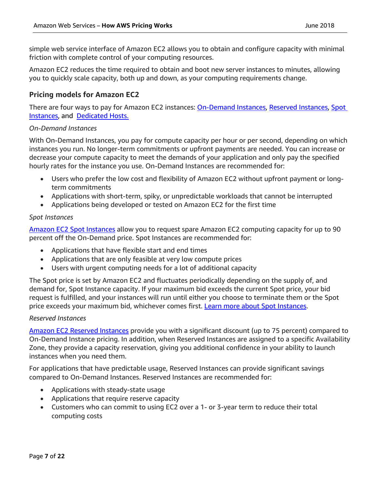simple web service interface of Amazon EC2 allows you to obtain and configure capacity with minimal friction with complete control of your computing resources.

Amazon EC2 reduces the time required to obtain and boot new server instances to minutes, allowing you to quickly scale capacity, both up and down, as your computing requirements change.

#### **Pricing models for Amazon EC2**

There are four ways to pay for Amazon EC2 instances: **On-Demand Instances, [Reserved Instances,](https://aws.amazon.com/ec2/pricing/reserved-instances/) Spot** [Instances,](https://aws.amazon.com/ec2/pricing/spot-instances/) and [Dedicated Hosts.](http://aws.amazon.com/ec2/dedicated-hosts)

#### *On-Demand Instances*

With On-Demand Instances, you pay for compute capacity per hour or per second, depending on which instances you run. No longer-term commitments or upfront payments are needed. You can increase or decrease your compute capacity to meet the demands of your application and only pay the specified hourly rates for the instance you use. On-Demand Instances are recommended for:

- Users who prefer the low cost and flexibility of Amazon EC2 without upfront payment or longterm commitments
- Applications with short-term, spiky, or unpredictable workloads that cannot be interrupted
- Applications being developed or tested on Amazon EC2 for the first time

#### *Spot Instances*

[Amazon EC2 Spot Instances](https://aws.amazon.com/ec2/spot/) allow you to request spare Amazon EC2 computing capacity for up to 90 percent off the On-Demand price. Spot Instances are recommended for:

- Applications that have flexible start and end times
- Applications that are only feasible at very low compute prices
- Users with urgent computing needs for a lot of additional capacity

The Spot price is set by Amazon EC2 and fluctuates periodically depending on the supply of, and demand for, Spot Instance capacity. If your maximum bid exceeds the current Spot price, your bid request is fulfilled, and your instances will run until either you choose to terminate them or the Spot price exceeds your maximum bid, whichever comes first. [Learn more about Spot Instances.](http://aws.amazon.com/ec2/spot-instances/)

#### *Reserved Instances*

[Amazon EC2 Reserved Instances](https://aws.amazon.com/ec2/pricing/reserved-instances/) provide you with a significant discount (up to 75 percent) compared to On-Demand Instance pricing. In addition, when Reserved Instances are assigned to a specific Availability Zone, they provide a capacity reservation, giving you additional confidence in your ability to launch instances when you need them.

For applications that have predictable usage, Reserved Instances can provide significant savings compared to On-Demand Instances. Reserved Instances are recommended for:

- Applications with steady-state usage
- Applications that require reserve capacity
- Customers who can commit to using EC2 over a 1- or 3-year term to reduce their total computing costs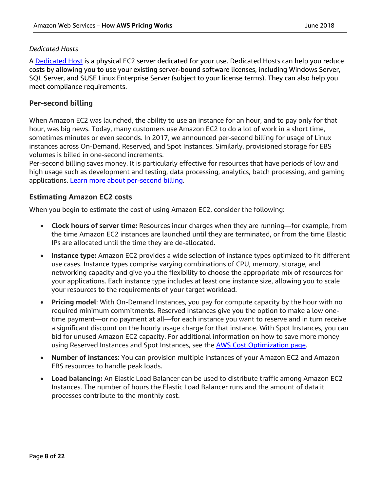#### *Dedicated Hosts*

A [Dedicated Host](https://aws.amazon.com/ec2/dedicated-hosts/) is a physical EC2 server dedicated for your use. Dedicated Hosts can help you reduce costs by allowing you to use your existing server-bound software licenses, including Windows Server, SQL Server, and SUSE Linux Enterprise Server (subject to your license terms). They can also help you meet compliance requirements.

#### **Per-second billing**

When Amazon EC2 was launched, the ability to use an instance for an hour, and to pay only for that hour, was big news. Today, many customers use Amazon EC2 to do a lot of work in a short time, sometimes minutes or even seconds. In 2017, we announced per-second billing for usage of Linux instances across On-Demand, Reserved, and Spot Instances. Similarly, provisioned storage for EBS volumes is billed in one-second increments.

Per-second billing saves money. It is particularly effective for resources that have periods of low and high usage such as development and testing, data processing, analytics, batch processing, and gaming applications. [Learn more about per-second billing.](https://aws.amazon.com/about-aws/whats-new/2017/10/announcing-amazon-ec2-per-second-billing/)

#### **Estimating Amazon EC2 costs**

When you begin to estimate the cost of using Amazon EC2, consider the following:

- **Clock hours of server time:** Resources incur charges when they are running—for example, from the time Amazon EC2 instances are launched until they are terminated, or from the time Elastic IPs are allocated until the time they are de-allocated.
- **Instance type:** Amazon EC2 provides a wide selection of instance types optimized to fit different use cases. Instance types comprise varying combinations of CPU, memory, storage, and networking capacity and give you the flexibility to choose the appropriate mix of resources for your applications. Each instance type includes at least one instance size, allowing you to scale your resources to the requirements of your target workload.
- **Pricing model**: With On-Demand Instances, you pay for compute capacity by the hour with no required minimum commitments. Reserved Instances give you the option to make a low onetime payment—or no payment at all—for each instance you want to reserve and in turn receive a significant discount on the hourly usage charge for that instance. With Spot Instances, you can bid for unused Amazon EC2 capacity. For additional information on how to save more money using Reserved Instances and Spot Instances, see the **AWS Cost Optimization page.**
- **Number of instances**: You can provision multiple instances of your Amazon EC2 and Amazon EBS resources to handle peak loads.
- **Load balancing:** An Elastic Load Balancer can be used to distribute traffic among Amazon EC2 Instances. The number of hours the Elastic Load Balancer runs and the amount of data it processes contribute to the monthly cost.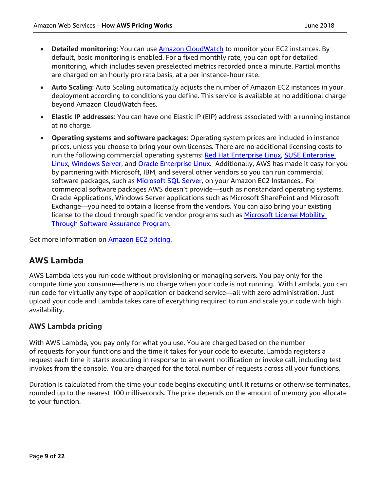- **Detailed monitoring**: You can use [Amazon CloudWatch](http://aws.amazon.com/cloudwatch/) to monitor your EC2 instances. By default, basic monitoring is enabled. For a fixed monthly rate, you can opt for detailed monitoring, which includes seven preselected metrics recorded once a minute. Partial months are charged on an hourly pro rata basis, at a per instance-hour rate.
- **Auto Scaling**: Auto Scaling automatically adjusts the number of Amazon EC2 instances in your deployment according to conditions you define. This service is available at no additional charge beyond Amazon CloudWatch fees.
- **Elastic IP addresses**: You can have one Elastic IP (EIP) address associated with a running instance at no charge.
- **Operating systems and software packages**: Operating system prices are included in instance prices, unless you choose to bring your own licenses. There are no additional licensing costs to run the following commercial operating systems: [Red Hat Enterprise Linux,](http://aws.amazon.com/rhel/) SUSE Enterprise [Linux,](http://aws.amazon.com/suse/) [Windows Server,](http://aws.amazon.com/windows/) and [Oracle Enterprise Linux.](http://aws.amazon.com/solutions/global-solution-providers/oracle/) Additionally, AWS has made it easy for you by partnering with Microsoft, IBM, and several other vendors so you can run commercial software packages, such as [Microsoft SQL Server,](https://aws.amazon.com/sql/) on your Amazon EC2 Instances,. For commercial software packages AWS doesn't provide—such as nonstandard operating systems, Oracle Applications, Windows Server applications such as Microsoft SharePoint and Microsoft Exchange—you need to obtain a license from the vendors. You can also bring your existing license to the cloud through specific vendor programs such as Microsoft License Mobility [Through Software Assurance Program.](http://aws.amazon.com/windows/mslicensemobility/)

Get more information on **Amazon EC2 pricing.** 

# <span id="page-8-0"></span>**AWS Lambda**

AWS Lambda lets you run code without provisioning or managing servers. You pay only for the compute time you consume—there is no charge when your code is not running. With Lambda, you can run code for virtually any type of application or backend service—all with zero administration. Just upload your code and Lambda takes care of everything required to run and scale your code with high availability.

#### **AWS Lambda pricing**

With AWS Lambda, you pay only for what you use. You are charged based on the number of requests for your functions and the time it takes for your code to execute. Lambda registers a request each time it starts executing in response to an event notification or invoke call, including test invokes from the console. You are charged for the total number of requests across all your functions.

Duration is calculated from the time your code begins executing until it returns or otherwise terminates, rounded up to the nearest 100 milliseconds. The price depends on the amount of memory you allocate to your function.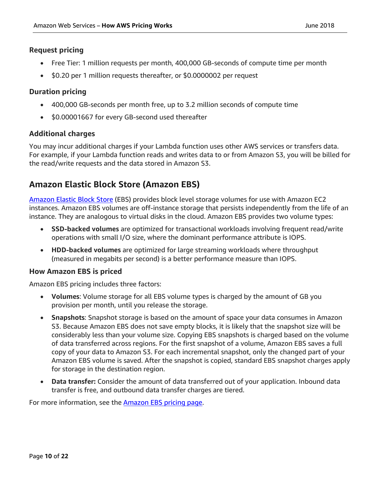#### **Request pricing**

- Free Tier: 1 million requests per month, 400,000 GB-seconds of compute time per month
- \$0.20 per 1 million requests thereafter, or \$0.0000002 per request

#### **Duration pricing**

- 400,000 GB-seconds per month free, up to 3.2 million seconds of compute time
- \$0.00001667 for every GB-second used thereafter

#### **Additional charges**

You may incur additional charges if your Lambda function uses other AWS services or transfers data. For example, if your Lambda function reads and writes data to or from Amazon S3, you will be billed for the read/write requests and the data stored in Amazon S3.

# <span id="page-9-0"></span>**Amazon Elastic Block Store (Amazon EBS)**

[Amazon Elastic Block Store](https://aws.amazon.com/ebs/) (EBS) provides block level storage volumes for use with Amazon EC2 instances. Amazon EBS volumes are off-instance storage that persists independently from the life of an instance. They are analogous to virtual disks in the cloud. Amazon EBS provides two volume types:

- **SSD-backed volumes** are optimized for transactional workloads involving frequent read/write operations with small I/O size, where the dominant performance attribute is IOPS.
- **HDD-backed volumes** are optimized for large streaming workloads where throughput (measured in megabits per second) is a better performance measure than IOPS.

#### **How Amazon EBS is priced**

Amazon EBS pricing includes three factors:

- **Volumes**: Volume storage for all EBS volume types is charged by the amount of GB you provision per month, until you release the storage.
- **Snapshots**: Snapshot storage is based on the amount of space your data consumes in Amazon S3. Because Amazon EBS does not save empty blocks, it is likely that the snapshot size will be considerably less than your volume size. Copying EBS snapshots is charged based on the volume of data transferred across regions. For the first snapshot of a volume, Amazon EBS saves a full copy of your data to Amazon S3. For each incremental snapshot, only the changed part of your Amazon EBS volume is saved. After the snapshot is copied, standard EBS snapshot charges apply for storage in the destination region.
- **Data transfer:** Consider the amount of data transferred out of your application. Inbound data transfer is free, and outbound data transfer charges are tiered.

For more information, see the **Amazon EBS pricing page.**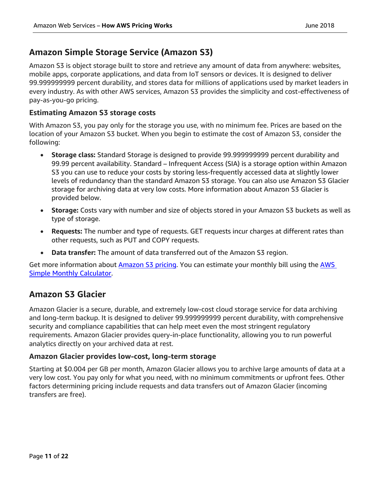# <span id="page-10-0"></span>**Amazon Simple Storage Service (Amazon S3)**

Amazon S3 is object storage built to store and retrieve any amount of data from anywhere: websites, mobile apps, corporate applications, and data from IoT sensors or devices. It is designed to deliver 99.999999999 percent durability, and stores data for millions of applications used by market leaders in every industry. As with other AWS services, Amazon S3 provides the simplicity and cost-effectiveness of pay-as-you-go pricing.

#### **Estimating Amazon S3 storage costs**

With Amazon S3, you pay only for the storage you use, with no minimum fee. Prices are based on the location of your Amazon S3 bucket. When you begin to estimate the cost of Amazon S3, consider the following:

- **Storage class:** Standard Storage is designed to provide 99.999999999 percent durability and 99.99 percent availability. Standard – Infrequent Access (SIA) is a storage option within Amazon S3 you can use to reduce your costs by storing less-frequently accessed data at slightly lower levels of redundancy than the standard Amazon S3 storage. You can also use Amazon S3 Glacier storage for archiving data at very low costs. More information about Amazon S3 Glacier is provided below.
- **Storage:** Costs vary with number and size of objects stored in your Amazon S3 buckets as well as type of storage.
- **Requests:** The number and type of requests. GET requests incur charges at different rates than other requests, such as PUT and COPY requests.
- **Data transfer:** The amount of data transferred out of the Amazon S3 region.

Get more information about [Amazon S3 pricing.](http://aws.amazon.com/pricing/s3/) You can estimate your monthly bill using the [AWS](http://aws.amazon.com/calculator/)  [Simple Monthly Calculator.](http://aws.amazon.com/calculator/)

# <span id="page-10-1"></span>**Amazon S3 Glacier**

Amazon Glacier is a secure, durable, and extremely low-cost cloud storage service for data archiving and long-term backup. It is designed to deliver 99.999999999 percent durability, with comprehensive security and compliance capabilities that can help meet even the most stringent regulatory requirements. Amazon Glacier provides query-in-place functionality, allowing you to run powerful analytics directly on your archived data at rest.

#### **Amazon Glacier provides low-cost, long-term storage**

Starting at \$0.004 per GB per month, Amazon Glacier allows you to archive large amounts of data at a very low cost. You pay only for what you need, with no minimum commitments or upfront fees. Other factors determining pricing include requests and data transfers out of Amazon Glacier (incoming transfers are free).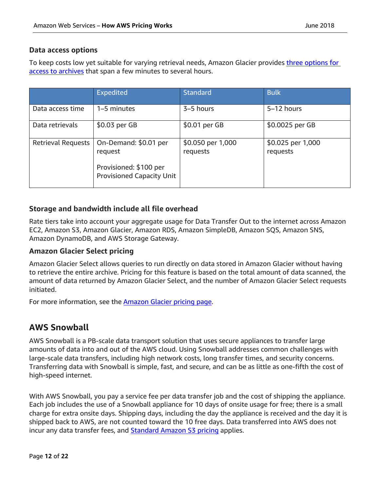#### **Data access options**

To keep costs low yet suitable for varying retrieval needs, Amazon Glacier provides *three options for* [access to archives](https://aws.amazon.com/glacier/faqs/#dataretrievals) that span a few minutes to several hours.

|                           | <b>Expedited</b>                                           | <b>Standard</b>               | <b>Bulk</b>                   |
|---------------------------|------------------------------------------------------------|-------------------------------|-------------------------------|
| Data access time          | 1–5 minutes                                                | 3-5 hours                     | 5-12 hours                    |
| Data retrievals           | \$0.03 per GB                                              | \$0.01 per GB                 | \$0.0025 per GB               |
| <b>Retrieval Requests</b> | On-Demand: \$0.01 per<br>request<br>Provisioned: \$100 per | \$0.050 per 1,000<br>requests | \$0.025 per 1,000<br>requests |
|                           | <b>Provisioned Capacity Unit</b>                           |                               |                               |

#### **Storage and bandwidth include all file overhead**

Rate tiers take into account your aggregate usage for Data Transfer Out to the internet across Amazon EC2, Amazon S3, Amazon Glacier, Amazon RDS, Amazon SimpleDB, Amazon SQS, Amazon SNS, Amazon DynamoDB, and AWS Storage Gateway.

#### **Amazon Glacier Select pricing**

Amazon Glacier Select allows queries to run directly on data stored in Amazon Glacier without having to retrieve the entire archive. Pricing for this feature is based on the total amount of data scanned, the amount of data returned by Amazon Glacier Select, and the number of Amazon Glacier Select requests initiated.

For more information, see the **Amazon Glacier pricing page**.

# <span id="page-11-0"></span>**AWS Snowball**

AWS Snowball is a PB-scale data transport solution that uses secure appliances to transfer large amounts of data into and out of the AWS cloud. Using Snowball addresses common challenges with large-scale data transfers, including high network costs, long transfer times, and security concerns. Transferring data with Snowball is simple, fast, and secure, and can be as little as one-fifth the cost of high-speed internet.

With AWS Snowball, you pay a service fee per data transfer job and the cost of shipping the appliance. Each job includes the use of a Snowball appliance for 10 days of onsite usage for free; there is a small charge for extra onsite days. Shipping days, including the day the appliance is received and the day it is shipped back to AWS, are not counted toward the 10 free days. Data transferred into AWS does not incur any data transfer fees, and **[Standard Amazon S3 pricing](https://aws.amazon.com/s3/pricing/)** applies.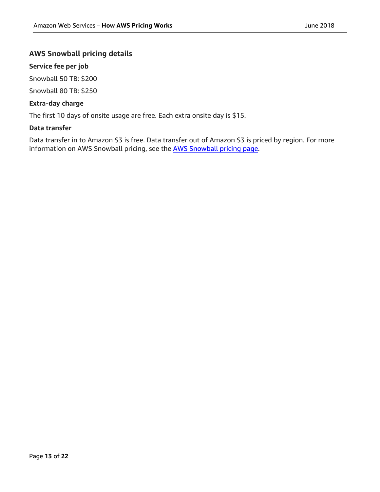#### **AWS Snowball pricing details**

#### **Service fee per job**

Snowball 50 TB: \$200

Snowball 80 TB: \$250

#### **Extra-day charge**

The first 10 days of onsite usage are free. Each extra onsite day is \$15.

#### **Data transfer**

Data transfer in to Amazon S3 is free. Data transfer out of Amazon S3 is priced by region. For more information on AWS Snowball pricing, see the [AWS Snowball pricing page.](https://aws.amazon.com/snowball/pricing/)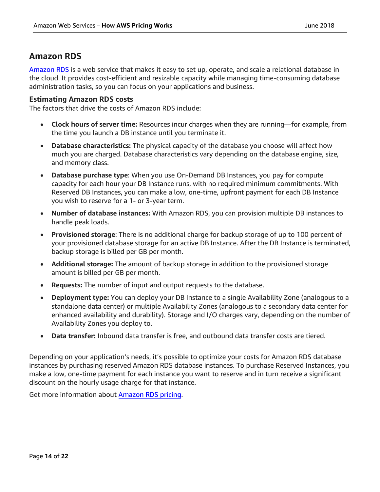## <span id="page-13-0"></span>**Amazon RDS**

[Amazon RDS](https://aws.amazon.com/rds/) is a web service that makes it easy to set up, operate, and scale a relational database in the cloud. It provides cost-efficient and resizable capacity while managing time-consuming database administration tasks, so you can focus on your applications and business.

#### **Estimating Amazon RDS costs**

The factors that drive the costs of Amazon RDS include:

- **Clock hours of server time:** Resources incur charges when they are running—for example, from the time you launch a DB instance until you terminate it.
- **Database characteristics:** The physical capacity of the database you choose will affect how much you are charged. Database characteristics vary depending on the database engine, size, and memory class.
- **Database purchase type**: When you use On-Demand DB Instances, you pay for compute capacity for each hour your DB Instance runs, with no required minimum commitments. With Reserved DB Instances, you can make a low, one-time, upfront payment for each DB Instance you wish to reserve for a 1- or 3-year term.
- **Number of database instances:** With Amazon RDS, you can provision multiple DB instances to handle peak loads.
- **Provisioned storage**: There is no additional charge for backup storage of up to 100 percent of your provisioned database storage for an active DB Instance. After the DB Instance is terminated, backup storage is billed per GB per month.
- **Additional storage:** The amount of backup storage in addition to the provisioned storage amount is billed per GB per month.
- **Requests:** The number of input and output requests to the database.
- **Deployment type:** You can deploy your DB Instance to a single Availability Zone (analogous to a standalone data center) or multiple Availability Zones (analogous to a secondary data center for enhanced availability and durability). Storage and I/O charges vary, depending on the number of Availability Zones you deploy to.
- **Data transfer:** Inbound data transfer is free, and outbound data transfer costs are tiered.

Depending on your application's needs, it's possible to optimize your costs for Amazon RDS database instances by purchasing reserved Amazon RDS database instances. To purchase Reserved Instances, you make a low, one-time payment for each instance you want to reserve and in turn receive a significant discount on the hourly usage charge for that instance.

Get more information about [Amazon RDS pricing.](http://aws.amazon.com/pricing/rds/)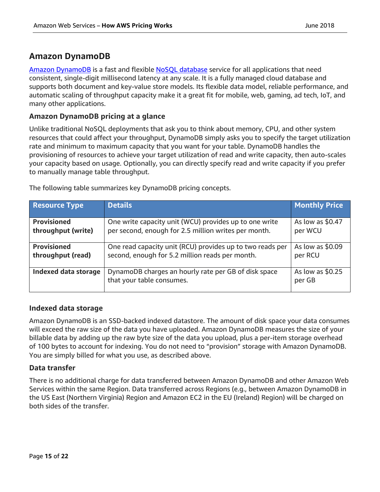# <span id="page-14-0"></span>**Amazon DynamoDB**

[Amazon DynamoDB](https://aws.amazon.com/dynamodb) is a fast and flexible [NoSQL database](https://aws.amazon.com/nosql/) service for all applications that need consistent, single-digit millisecond latency at any scale. It is a fully managed cloud database and supports both document and key-value store models. Its flexible data model, reliable performance, and automatic scaling of throughput capacity make it a great fit for mobile, web, gaming, ad tech, IoT, and many other applications.

#### **Amazon DynamoDB pricing at a glance**

Unlike traditional NoSQL deployments that ask you to think about memory, CPU, and other system resources that could affect your throughput, DynamoDB simply asks you to specify the target utilization rate and minimum to maximum capacity that you want for your table. DynamoDB handles the provisioning of resources to achieve your target utilization of read and write capacity, then auto-scales your capacity based on usage. Optionally, you can directly specify read and write capacity if you prefer to manually manage table throughput.

| <b>Resource Type</b>        | <b>Details</b>                                                                    | <b>Monthly Price</b>        |
|-----------------------------|-----------------------------------------------------------------------------------|-----------------------------|
| <b>Provisioned</b>          | One write capacity unit (WCU) provides up to one write                            | As low as \$0.47            |
| throughput (write)          | per second, enough for 2.5 million writes per month.                              | per WCU                     |
| <b>Provisioned</b>          | One read capacity unit (RCU) provides up to two reads per                         | As low as \$0.09            |
| throughput (read)           | second, enough for 5.2 million reads per month.                                   | per RCU                     |
| <b>Indexed data storage</b> | DynamoDB charges an hourly rate per GB of disk space<br>that your table consumes. | As low as $$0.25$<br>per GB |

The following table summarizes key DynamoDB pricing concepts.

#### **Indexed data storage**

Amazon DynamoDB is an SSD-backed indexed datastore. The amount of disk space your data consumes will exceed the raw size of the data you have uploaded. Amazon DynamoDB measures the size of your billable data by adding up the raw byte size of the data you upload, plus a per-item storage overhead of 100 bytes to account for indexing. You do not need to "provision" storage with Amazon DynamoDB. You are simply billed for what you use, as described above.

#### **Data transfer**

There is no additional charge for data transferred between Amazon DynamoDB and other Amazon Web Services within the same Region. Data transferred across Regions (e.g., between Amazon DynamoDB in the US East (Northern Virginia) Region and Amazon EC2 in the EU (Ireland) Region) will be charged on both sides of the transfer.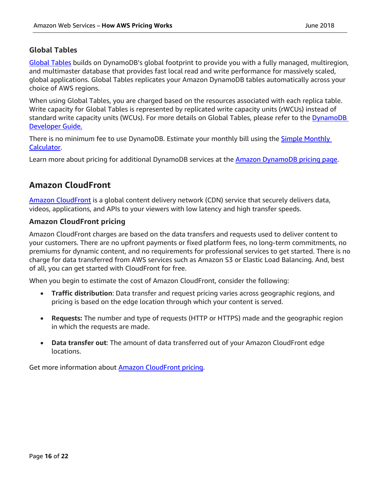#### **Global Tables**

[Global Tables](https://aws.amazon.com/dynamodb/global-tables/) builds on DynamoDB's global footprint to provide you with a fully managed, multiregion, and multimaster database that provides fast local read and write performance for massively scaled, global applications. Global Tables replicates your Amazon DynamoDB tables automatically across your choice of AWS regions.

When using Global Tables, you are charged based on the resources associated with each replica table. Write capacity for Global Tables is represented by replicated write capacity units (rWCUs) instead of standard write capacity units (WCUs). For more details on Global Tables, please refer to the DynamoDB [Developer Guide.](http://docs.aws.amazon.com/amazondynamodb/latest/developerguide/GlobalTables.html)

There is no minimum fee to use DynamoDB. Estimate your monthly bill using the **Simple Monthly** [Calculator.](http://calculator.s3.amazonaws.com/calc5.html#s=DYNAMODB)

Learn more about pricing for additional DynamoDB services at the **Amazon DynamoDB pricing page.** 

# <span id="page-15-0"></span>**Amazon CloudFront**

[Amazon CloudFront](http://aws.amazon.com/cloudfront) is a global content delivery network (CDN) service that securely delivers data, videos, applications, and APIs to your viewers with low latency and high transfer speeds.

#### **Amazon CloudFront pricing**

Amazon CloudFront charges are based on the data transfers and requests used to deliver content to your customers. There are no upfront payments or fixed platform fees, no long-term commitments, no premiums for dynamic content, and no requirements for professional services to get started. There is no charge for data transferred from AWS services such as Amazon S3 or Elastic Load Balancing. And, best of all, you can get started with CloudFront for free.

When you begin to estimate the cost of Amazon CloudFront, consider the following:

- **Traffic distribution**: Data transfer and request pricing varies across geographic regions, and pricing is based on the edge location through which your content is served.
- **Requests:** The number and type of requests (HTTP or HTTPS) made and the geographic region in which the requests are made.
- **Data transfer out**: The amount of data transferred out of your Amazon CloudFront edge locations.

Get more information about **Amazon CloudFront pricing.**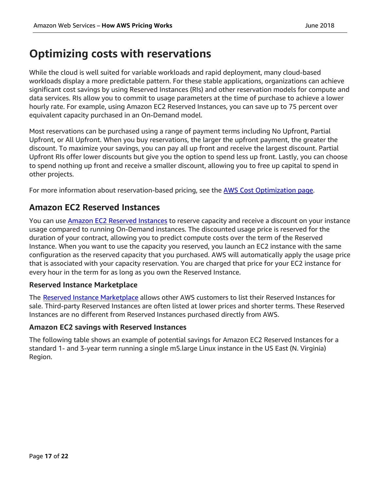# <span id="page-16-0"></span>**Optimizing costs with reservations**

While the cloud is well suited for variable workloads and rapid deployment, many cloud-based workloads display a more predictable pattern. For these stable applications, organizations can achieve significant cost savings by using Reserved Instances (RIs) and other reservation models for compute and data services. RIs allow you to commit to usage parameters at the time of purchase to achieve a lower hourly rate. For example, using Amazon EC2 Reserved Instances, you can save up to 75 percent over equivalent capacity purchased in an On-Demand model.

Most reservations can be purchased using a range of payment terms including No Upfront, Partial Upfront, or All Upfront. When you buy reservations, the larger the upfront payment, the greater the discount. To maximize your savings, you can pay all up front and receive the largest discount. Partial Upfront RIs offer lower discounts but give you the option to spend less up front. Lastly, you can choose to spend nothing up front and receive a smaller discount, allowing you to free up capital to spend in other projects.

For more information about reservation-based pricing, see the **AWS Cost Optimization page**.

# <span id="page-16-1"></span>**Amazon EC2 Reserved Instances**

You can use **Amazon EC2 Reserved Instances** to reserve capacity and receive a discount on your instance usage compared to running On-Demand instances. The discounted usage price is reserved for the duration of your contract, allowing you to predict compute costs over the term of the Reserved Instance. When you want to use the capacity you reserved, you launch an EC2 instance with the same configuration as the reserved capacity that you purchased. AWS will automatically apply the usage price that is associated with your capacity reservation. You are charged that price for your EC2 instance for every hour in the term for as long as you own the Reserved Instance.

#### **Reserved Instance Marketplace**

The [Reserved Instance Marketplace](https://aws.amazon.com/ec2/purchasing-options/reserved-instances/marketplace/) allows other AWS customers to list their Reserved Instances for sale. Third-party Reserved Instances are often listed at lower prices and shorter terms. These Reserved Instances are no different from Reserved Instances purchased directly from AWS.

#### **Amazon EC2 savings with Reserved Instances**

The following table shows an example of potential savings for Amazon EC2 Reserved Instances for a standard 1- and 3-year term running a single m5.large Linux instance in the US East (N. Virginia) Region.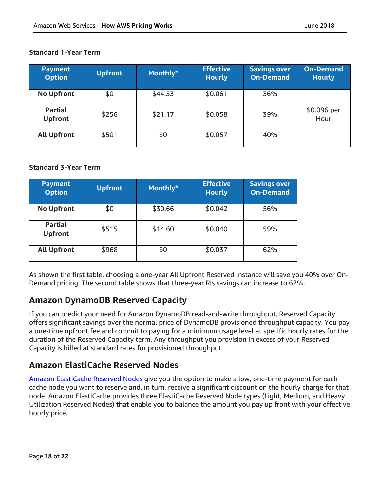| <b>Payment</b><br><b>Option</b>  | <b>Upfront</b> | Monthly* | <b>Effective</b><br><b>Hourly</b> | <b>Savings over</b><br><b>On-Demand</b> | <b>On-Demand</b><br><b>Hourly</b> |
|----------------------------------|----------------|----------|-----------------------------------|-----------------------------------------|-----------------------------------|
| <b>No Upfront</b>                | \$0            | \$44.53  | \$0.061                           | 36%                                     |                                   |
| <b>Partial</b><br><b>Upfront</b> | \$256          | \$21.17  | \$0.058                           | 39%                                     | \$0.096 per<br>Hour               |
| <b>All Upfront</b>               | \$501          | \$0      | \$0.057                           | 40%                                     |                                   |

#### **Standard 1-Year Term**

#### **Standard 3-Year Term**

| <b>Payment</b><br><b>Option</b>  | <b>Upfront</b> | Monthly* | <b>Effective</b><br><b>Hourly</b> | <b>Savings over</b><br><b>On-Demand</b> |
|----------------------------------|----------------|----------|-----------------------------------|-----------------------------------------|
| <b>No Upfront</b>                | \$0            | \$30.66  | \$0.042                           | 56%                                     |
| <b>Partial</b><br><b>Upfront</b> | \$515          | \$14.60  | \$0.040                           | 59%                                     |
| <b>All Upfront</b>               | \$968          | \$0      | \$0.037                           | 62%                                     |

As shown the first table, choosing a one-year All Upfront Reserved Instance will save you 40% over On-Demand pricing. The second table shows that three-year RIs savings can increase to 62%.

# <span id="page-17-0"></span>**Amazon DynamoDB Reserved Capacity**

If you can predict your need for Amazon DynamoDB read-and-write throughput, Reserved Capacity offers significant savings over the normal price of DynamoDB provisioned throughput capacity. You pay a one-time upfront fee and commit to paying for a minimum usage level at specific hourly rates for the duration of the Reserved Capacity term. Any throughput you provision in excess of your Reserved Capacity is billed at standard rates for provisioned throughput.

# <span id="page-17-1"></span>**Amazon ElastiCache Reserved Nodes**

[Amazon ElastiCache](https://aws.amazon.com/elasticache/) [Reserved Nodes](https://aws.amazon.com/elasticache/reserved-cache-nodes/) give you the option to make a low, one-time payment for each cache node you want to reserve and, in turn, receive a significant discount on the hourly charge for that node. Amazon ElastiCache provides three ElastiCache Reserved Node types (Light, Medium, and Heavy Utilization Reserved Nodes) that enable you to balance the amount you pay up front with your effective hourly price.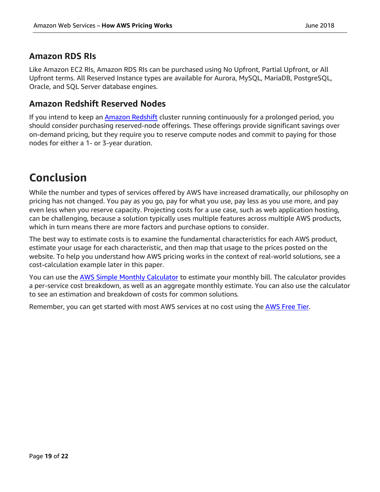## <span id="page-18-0"></span>**Amazon RDS RIs**

Like Amazon EC2 RIs, Amazon RDS RIs can be purchased using No Upfront, Partial Upfront, or All Upfront terms. All Reserved Instance types are available for Aurora, MySQL, MariaDB, PostgreSQL, Oracle, and SQL Server database engines.

### <span id="page-18-1"></span>**Amazon Redshift Reserved Nodes**

If you intend to keep an [Amazon Redshift](https://aws.amazon.com/redshift/) cluster running continuously for a prolonged period, you should consider purchasing reserved-node offerings. These offerings provide significant savings over on-demand pricing, but they require you to reserve compute nodes and commit to paying for those nodes for either a 1- or 3-year duration.

# <span id="page-18-2"></span>**Conclusion**

While the number and types of services offered by AWS have increased dramatically, our philosophy on pricing has not changed. You pay as you go, pay for what you use, pay less as you use more, and pay even less when you reserve capacity. Projecting costs for a use case, such as web application hosting, can be challenging, because a solution typically uses multiple features across multiple AWS products, which in turn means there are more factors and purchase options to consider.

The best way to estimate costs is to examine the fundamental characteristics for each AWS product, estimate your usage for each characteristic, and then map that usage to the prices posted on the website. To help you understand how AWS pricing works in the context of real-world solutions, see a cost-calculation example later in this paper.

You can use the [AWS Simple Monthly Calculator](http://calculator.s3.amazonaws.com/calc5.html) to estimate your monthly bill. The calculator provides a per-service cost breakdown, as well as an aggregate monthly estimate. You can also use the calculator to see an estimation and breakdown of costs for common solutions.

Remember, you can get started with most AWS services at no cost using the [AWS Free Tier.](http://aws.amazon.com/free)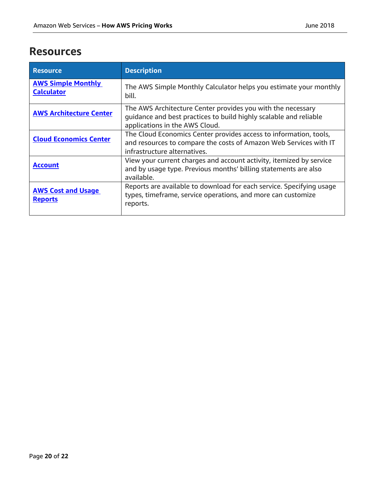# <span id="page-19-0"></span>**Resources**

| <b>Resource</b>                                | <b>Description</b>                                                                                                                                                     |
|------------------------------------------------|------------------------------------------------------------------------------------------------------------------------------------------------------------------------|
| <b>AWS Simple Monthly</b><br><b>Calculator</b> | The AWS Simple Monthly Calculator helps you estimate your monthly<br>bill.                                                                                             |
| <b>AWS Architecture Center</b>                 | The AWS Architecture Center provides you with the necessary<br>guidance and best practices to build highly scalable and reliable<br>applications in the AWS Cloud.     |
| <b>Cloud Economics Center</b>                  | The Cloud Economics Center provides access to information, tools,<br>and resources to compare the costs of Amazon Web Services with IT<br>infrastructure alternatives. |
| <b>Account</b>                                 | View your current charges and account activity, itemized by service<br>and by usage type. Previous months' billing statements are also<br>available.                   |
| <b>AWS Cost and Usage</b><br><b>Reports</b>    | Reports are available to download for each service. Specifying usage<br>types, timeframe, service operations, and more can customize<br>reports.                       |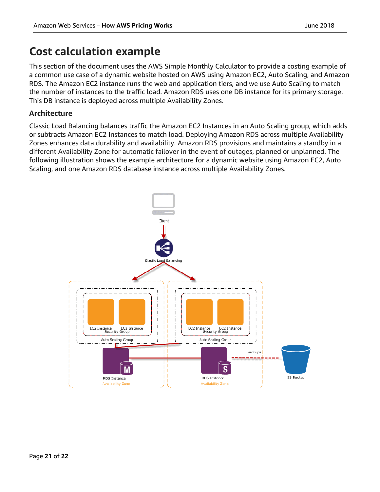# <span id="page-20-0"></span>**Cost calculation example**

This section of the document uses the AWS Simple Monthly Calculator to provide a costing example of a common use case of a dynamic website hosted on AWS using Amazon EC2, Auto Scaling, and Amazon RDS. The Amazon EC2 instance runs the web and application tiers, and we use Auto Scaling to match the number of instances to the traffic load. Amazon RDS uses one DB instance for its primary storage. This DB instance is deployed across multiple Availability Zones.

#### **Architecture**

Classic Load Balancing balances traffic the Amazon EC2 Instances in an Auto Scaling group, which adds or subtracts Amazon EC2 Instances to match load. Deploying Amazon RDS across multiple Availability Zones enhances data durability and availability. Amazon RDS provisions and maintains a standby in a different Availability Zone for automatic failover in the event of outages, planned or unplanned. The following illustration shows the example architecture for a dynamic website using Amazon EC2, Auto Scaling, and one Amazon RDS database instance across multiple Availability Zones.